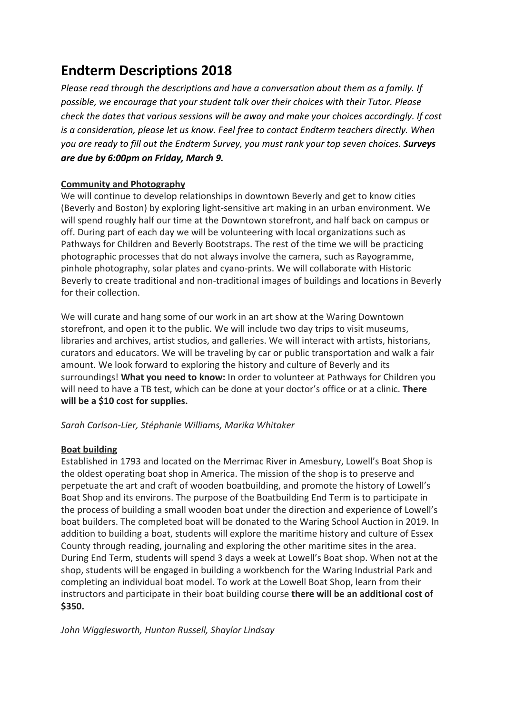# **Endterm Descriptions 2018**

*Please read through the descriptions and have a conversation about them as a family. If possible, we encourage that your student talk over their choices with their Tutor. Please check the dates that various sessions will be away and make your choices accordingly. If cost is a consideration, please let us know. Feel free to contact Endterm teachers directly. When you are ready to fill out the Endterm Survey, you must rank your top seven choices. Surveys are due by 6:00pm on Friday, March 9.*

## **Community and Photography**

We will continue to develop relationships in downtown Beverly and get to know cities (Beverly and Boston) by exploring light-sensitive art making in an urban environment. We will spend roughly half our time at the Downtown storefront, and half back on campus or off. During part of each day we will be volunteering with local organizations such as Pathways for Children and Beverly Bootstraps. The rest of the time we will be practicing photographic processes that do not always involve the camera, such as Rayogramme, pinhole photography, solar plates and cyano-prints. We will collaborate with Historic Beverly to create traditional and non-traditional images of buildings and locations in Beverly for their collection.

We will curate and hang some of our work in an art show at the Waring Downtown storefront, and open it to the public. We will include two day trips to visit museums, libraries and archives, artist studios, and galleries. We will interact with artists, historians, curators and educators. We will be traveling by car or public transportation and walk a fair amount. We look forward to exploring the history and culture of Beverly and its surroundings! **What you need to know:** In order to volunteer at Pathways for Children you will need to have a TB test, which can be done at your doctor's office or at a clinic. **There will be a \$10 cost for supplies.**

*Sarah Carlson-Lier, Stéphanie Williams, Marika Whitaker*

## **Boat building**

Established in 1793 and located on the Merrimac River in Amesbury, Lowell's Boat Shop is the oldest operating boat shop in America. The mission of the shop is to preserve and perpetuate the art and craft of wooden boatbuilding, and promote the history of Lowell's Boat Shop and its environs. The purpose of the Boatbuilding End Term is to participate in the process of building a small wooden boat under the direction and experience of Lowell's boat builders. The completed boat will be donated to the Waring School Auction in 2019. In addition to building a boat, students will explore the maritime history and culture of Essex County through reading, journaling and exploring the other maritime sites in the area. During End Term, students will spend 3 days a week at Lowell's Boat shop. When not at the shop, students will be engaged in building a workbench for the Waring Industrial Park and completing an individual boat model. To work at the Lowell Boat Shop, learn from their instructors and participate in their boat building course **there will be an additional cost of \$350.**

*John Wigglesworth, Hunton Russell, Shaylor Lindsay*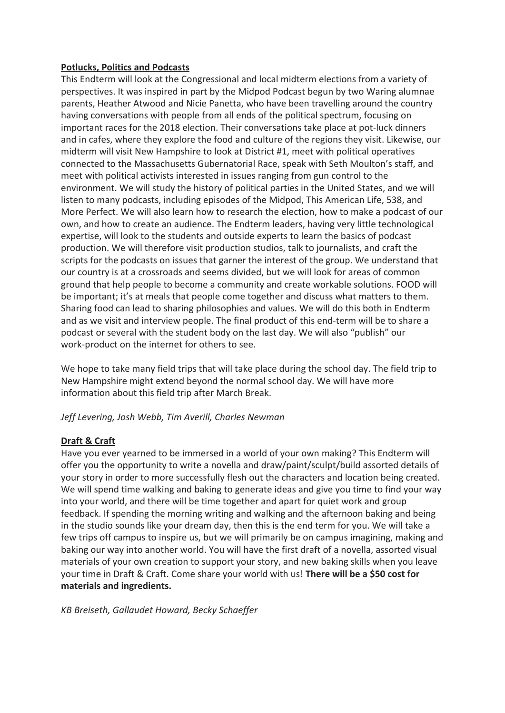## **Potlucks, Politics and Podcasts**

This Endterm will look at the Congressional and local midterm elections from a variety of perspectives. It was inspired in part by the Midpod Podcast begun by two Waring alumnae parents, Heather Atwood and Nicie Panetta, who have been travelling around the country having conversations with people from all ends of the political spectrum, focusing on important races for the 2018 election. Their conversations take place at pot-luck dinners and in cafes, where they explore the food and culture of the regions they visit. Likewise, our midterm will visit New Hampshire to look at District #1, meet with political operatives connected to the Massachusetts Gubernatorial Race, speak with Seth Moulton's staff, and meet with political activists interested in issues ranging from gun control to the environment. We will study the history of political parties in the United States, and we will listen to many podcasts, including episodes of the Midpod, This American Life, 538, and More Perfect. We will also learn how to research the election, how to make a podcast of our own, and how to create an audience. The Endterm leaders, having very little technological expertise, will look to the students and outside experts to learn the basics of podcast production. We will therefore visit production studios, talk to journalists, and craft the scripts for the podcasts on issues that garner the interest of the group. We understand that our country is at a crossroads and seems divided, but we will look for areas of common ground that help people to become a community and create workable solutions. FOOD will be important; it's at meals that people come together and discuss what matters to them. Sharing food can lead to sharing philosophies and values. We will do this both in Endterm and as we visit and interview people. The final product of this end-term will be to share a podcast or several with the student body on the last day. We will also "publish" our work-product on the internet for others to see.

We hope to take many field trips that will take place during the school day. The field trip to New Hampshire might extend beyond the normal school day. We will have more information about this field trip after March Break.

*Jeff Levering, Josh Webb, Tim Averill, Charles Newman*

## **Draft & Craft**

Have you ever yearned to be immersed in a world of your own making? This Endterm will offer you the opportunity to write a novella and draw/paint/sculpt/build assorted details of your story in order to more successfully flesh out the characters and location being created. We will spend time walking and baking to generate ideas and give you time to find your way into your world, and there will be time together and apart for quiet work and group feedback. If spending the morning writing and walking and the afternoon baking and being in the studio sounds like your dream day, then this is the end term for you. We will take a few trips off campus to inspire us, but we will primarily be on campus imagining, making and baking our way into another world. You will have the first draft of a novella, assorted visual materials of your own creation to support your story, and new baking skills when you leave your time in Draft & Craft. Come share your world with us! **There will be a \$50 cost for materials and ingredients.**

*KB Breiseth, Gallaudet Howard, Becky Schaeffer*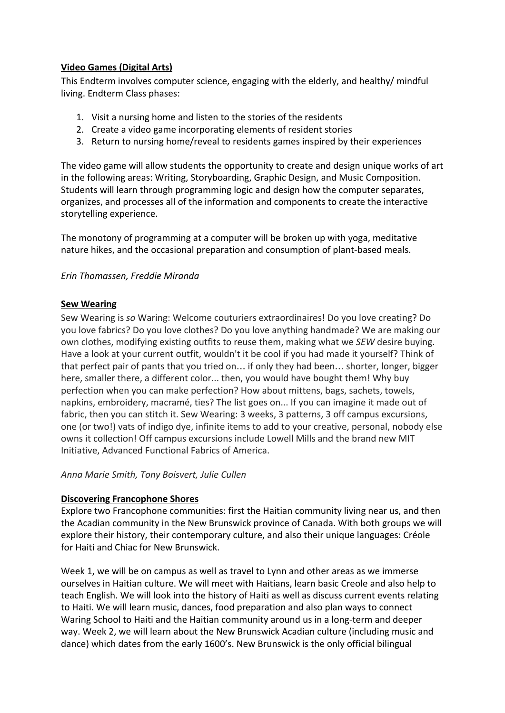## **Video Games (Digital Arts)**

This Endterm involves computer science, engaging with the elderly, and healthy/ mindful living. Endterm Class phases:

- 1. Visit a nursing home and listen to the stories of the residents
- 2. Create a video game incorporating elements of resident stories
- 3. Return to nursing home/reveal to residents games inspired by their experiences

The video game will allow students the opportunity to create and design unique works of art in the following areas: Writing, Storyboarding, Graphic Design, and Music Composition. Students will learn through programming logic and design how the computer separates, organizes, and processes all of the information and components to create the interactive storytelling experience.

The monotony of programming at a computer will be broken up with yoga, meditative nature hikes, and the occasional preparation and consumption of plant-based meals.

## *Erin Thomassen, Freddie Miranda*

#### **Sew Wearing**

Sew Wearing is *so* Waring: Welcome couturiers extraordinaires! Do you love creating? Do you love fabrics? Do you love clothes? Do you love anything handmade? We are making our own clothes, modifying existing outfits to reuse them, making what we *SEW* desire buying. Have a look at your current outfit, wouldn't it be cool if you had made it yourself? Think of that perfect pair of pants that you tried on… if only they had been… shorter, longer, bigger here, smaller there, a different color... then, you would have bought them! Why buy perfection when you can make perfection? How about mittens, bags, sachets, towels, napkins, embroidery, macramé, ties? The list goes on... If you can imagine it made out of fabric, then you can stitch it. Sew Wearing: 3 weeks, 3 patterns, 3 off campus excursions, one (or two!) vats of indigo dye, infinite items to add to your creative, personal, nobody else owns it collection! Off campus excursions include Lowell Mills and the brand new MIT Initiative, Advanced Functional Fabrics of America.

#### *Anna Marie Smith, Tony Boisvert, Julie Cullen*

#### **Discovering Francophone Shores**

Explore two Francophone communities: first the Haitian community living near us, and then the Acadian community in the New Brunswick province of Canada. With both groups we will explore their history, their contemporary culture, and also their unique languages: Créole for Haiti and Chiac for New Brunswick.

Week 1, we will be on campus as well as travel to Lynn and other areas as we immerse ourselves in Haitian culture. We will meet with Haitians, learn basic Creole and also help to teach English. We will look into the history of Haiti as well as discuss current events relating to Haiti. We will learn music, dances, food preparation and also plan ways to connect Waring School to Haiti and the Haitian community around us in a long-term and deeper way. Week 2, we will learn about the New Brunswick Acadian culture (including music and dance) which dates from the early 1600's. New Brunswick is the only official bilingual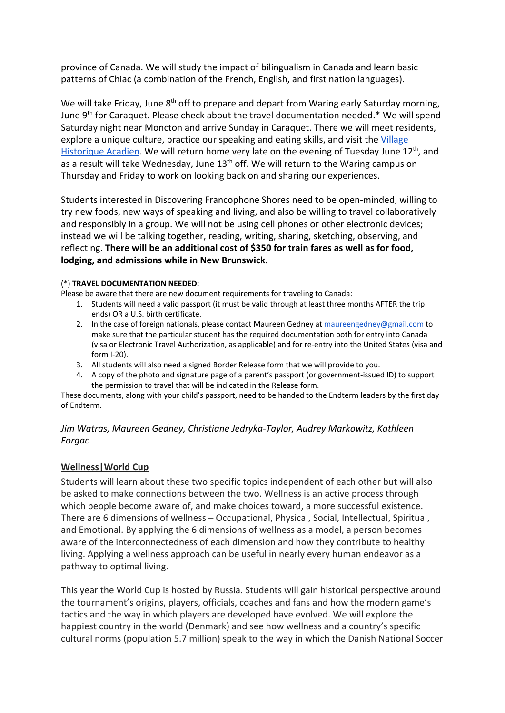province of Canada. We will study the impact of bilingualism in Canada and learn basic patterns of Chiac (a combination of the French, English, and first nation languages).

We will take Friday, June 8<sup>th</sup> off to prepare and depart from Waring early Saturday morning, June 9<sup>th</sup> for Caraquet. Please check about the travel documentation needed.\* We will spend Saturday night near Moncton and arrive Sunday in Caraquet. There we will meet residents, explore a unique culture, practice our speaking and eating skills, and visit the [Village](https://www.tourismnewbrunswick.ca/Products/V/Village-Historique-Acadien-Product.aspx) [Historique Acadien](https://www.tourismnewbrunswick.ca/Products/V/Village-Historique-Acadien-Product.aspx)</u>. We will return home very late on the evening of Tuesday June 12<sup>th</sup>, and as a result will take Wednesday, June 13<sup>th</sup> off. We will return to the Waring campus on Thursday and Friday to work on looking back on and sharing our experiences.

Students interested in Discovering Francophone Shores need to be open-minded, willing to try new foods, new ways of speaking and living, and also be willing to travel collaboratively and responsibly in a group. We will not be using cell phones or other electronic devices; instead we will be talking together, reading, writing, sharing, sketching, observing, and reflecting. **There will be an additional cost of \$350 for train fares as well as for food, lodging, and admissions while in New Brunswick.**

#### (\*) **TRAVEL DOCUMENTATION NEEDED:**

Please be aware that there are new document requirements for traveling to Canada:

- 1. Students will need a valid passport (it must be valid through at least three months AFTER the trip ends) OR a U.S. birth certificate.
- 2. In the case of foreign nationals, please contact Maureen Gedney at [maureengedney@gmail.com](mailto:maureengedney@gmail.com) to make sure that the particular student has the required documentation both for entry into Canada (visa or Electronic Travel Authorization, as applicable) and for re-entry into the United States (visa and form I-20).
- 3. All students will also need a signed Border Release form that we will provide to you.
- 4. A copy of the photo and signature page of a parent's passport (or government-issued ID) to support the permission to travel that will be indicated in the Release form.

These documents, along with your child's passport, need to be handed to the Endterm leaders by the first day of Endterm.

## *Jim Watras, Maureen Gedney, Christiane Jedryka-Taylor, Audrey Markowitz, Kathleen Forgac*

## **Wellness|World Cup**

Students will learn about these two specific topics independent of each other but will also be asked to make connections between the two. Wellness is an active process through which people become aware of, and make choices toward, a more successful existence. There are 6 dimensions of wellness – Occupational, Physical, Social, Intellectual, Spiritual, and Emotional. By applying the 6 dimensions of wellness as a model, a person becomes aware of the interconnectedness of each dimension and how they contribute to healthy living. Applying a wellness approach can be useful in nearly every human endeavor as a pathway to optimal living.

This year the World Cup is hosted by Russia. Students will gain historical perspective around the tournament's origins, players, officials, coaches and fans and how the modern game's tactics and the way in which players are developed have evolved. We will explore the happiest country in the world (Denmark) and see how wellness and a country's specific cultural norms (population 5.7 million) speak to the way in which the Danish National Soccer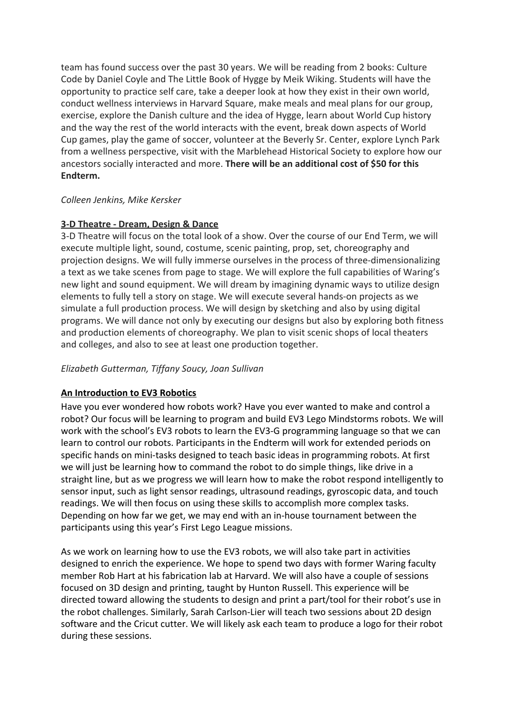team has found success over the past 30 years. We will be reading from 2 books: Culture Code by Daniel Coyle and The Little Book of Hygge by Meik Wiking. Students will have the opportunity to practice self care, take a deeper look at how they exist in their own world, conduct wellness interviews in Harvard Square, make meals and meal plans for our group, exercise, explore the Danish culture and the idea of Hygge, learn about World Cup history and the way the rest of the world interacts with the event, break down aspects of World Cup games, play the game of soccer, volunteer at the Beverly Sr. Center, explore Lynch Park from a wellness perspective, visit with the Marblehead Historical Society to explore how our ancestors socially interacted and more. **There will be an additional cost of \$50 for this Endterm.**

## *Colleen Jenkins, Mike Kersker*

## **3-D Theatre - Dream, Design & Dance**

3-D Theatre will focus on the total look of a show. Over the course of our End Term, we will execute multiple light, sound, costume, scenic painting, prop, set, choreography and projection designs. We will fully immerse ourselves in the process of three-dimensionalizing a text as we take scenes from page to stage. We will explore the full capabilities of Waring's new light and sound equipment. We will dream by imagining dynamic ways to utilize design elements to fully tell a story on stage. We will execute several hands-on projects as we simulate a full production process. We will design by sketching and also by using digital programs. We will dance not only by executing our designs but also by exploring both fitness and production elements of choreography. We plan to visit scenic shops of local theaters and colleges, and also to see at least one production together.

## *Elizabeth Gutterman, Tiffany Soucy, Joan Sullivan*

## **An Introduction to EV3 Robotics**

Have you ever wondered how robots work? Have you ever wanted to make and control a robot? Our focus will be learning to program and build EV3 Lego Mindstorms robots. We will work with the school's EV3 robots to learn the EV3-G programming language so that we can learn to control our robots. Participants in the Endterm will work for extended periods on specific hands on mini-tasks designed to teach basic ideas in programming robots. At first we will just be learning how to command the robot to do simple things, like drive in a straight line, but as we progress we will learn how to make the robot respond intelligently to sensor input, such as light sensor readings, ultrasound readings, gyroscopic data, and touch readings. We will then focus on using these skills to accomplish more complex tasks. Depending on how far we get, we may end with an in-house tournament between the participants using this year's First Lego League missions.

As we work on learning how to use the EV3 robots, we will also take part in activities designed to enrich the experience. We hope to spend two days with former Waring faculty member Rob Hart at his fabrication lab at Harvard. We will also have a couple of sessions focused on 3D design and printing, taught by Hunton Russell. This experience will be directed toward allowing the students to design and print a part/tool for their robot's use in the robot challenges. Similarly, Sarah Carlson-Lier will teach two sessions about 2D design software and the Cricut cutter. We will likely ask each team to produce a logo for their robot during these sessions.